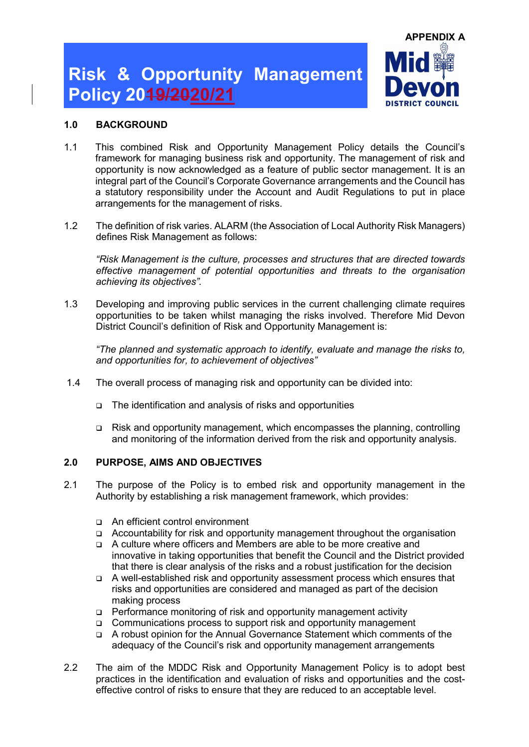

### 1.0 BACKGROUND

- 1.1 This combined Risk and Opportunity Management Policy details the Council's framework for managing business risk and opportunity. The management of risk and opportunity is now acknowledged as a feature of public sector management. It is an integral part of the Council's Corporate Governance arrangements and the Council has a statutory responsibility under the Account and Audit Regulations to put in place arrangements for the management of risks.
- 1.2 The definition of risk varies. ALARM (the Association of Local Authority Risk Managers) defines Risk Management as follows:

"Risk Management is the culture, processes and structures that are directed towards effective management of potential opportunities and threats to the organisation achieving its objectives".

1.3 Developing and improving public services in the current challenging climate requires opportunities to be taken whilst managing the risks involved. Therefore Mid Devon District Council's definition of Risk and Opportunity Management is:

"The planned and systematic approach to identify, evaluate and manage the risks to, and opportunities for, to achievement of objectives"

- 1.4 The overall process of managing risk and opportunity can be divided into:
	- The identification and analysis of risks and opportunities
	- Risk and opportunity management, which encompasses the planning, controlling and monitoring of the information derived from the risk and opportunity analysis.

### 2.0 PURPOSE, AIMS AND OBJECTIVES

- 2.1 The purpose of the Policy is to embed risk and opportunity management in the Authority by establishing a risk management framework, which provides:
	- An efficient control environment
	- Accountability for risk and opportunity management throughout the organisation
	- A culture where officers and Members are able to be more creative and innovative in taking opportunities that benefit the Council and the District provided that there is clear analysis of the risks and a robust justification for the decision
	- A well-established risk and opportunity assessment process which ensures that risks and opportunities are considered and managed as part of the decision making process
	- Performance monitoring of risk and opportunity management activity
	- Communications process to support risk and opportunity management
	- A robust opinion for the Annual Governance Statement which comments of the adequacy of the Council's risk and opportunity management arrangements
- 2.2 The aim of the MDDC Risk and Opportunity Management Policy is to adopt best practices in the identification and evaluation of risks and opportunities and the costeffective control of risks to ensure that they are reduced to an acceptable level.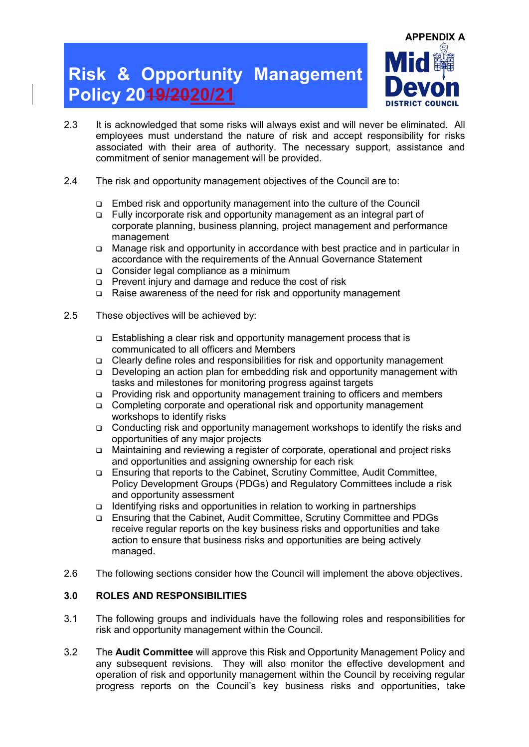

- 2.3 It is acknowledged that some risks will always exist and will never be eliminated. All employees must understand the nature of risk and accept responsibility for risks associated with their area of authority. The necessary support, assistance and commitment of senior management will be provided.
- 2.4 The risk and opportunity management objectives of the Council are to:
	- Embed risk and opportunity management into the culture of the Council
	- Fully incorporate risk and opportunity management as an integral part of corporate planning, business planning, project management and performance management
	- Manage risk and opportunity in accordance with best practice and in particular in accordance with the requirements of the Annual Governance Statement
	- Consider legal compliance as a minimum
	- Prevent injury and damage and reduce the cost of risk
	- Raise awareness of the need for risk and opportunity management
- 2.5 These objectives will be achieved by:
	- Establishing a clear risk and opportunity management process that is communicated to all officers and Members
	- Clearly define roles and responsibilities for risk and opportunity management
	- Developing an action plan for embedding risk and opportunity management with tasks and milestones for monitoring progress against targets
	- Providing risk and opportunity management training to officers and members
	- Completing corporate and operational risk and opportunity management workshops to identify risks
	- Conducting risk and opportunity management workshops to identify the risks and opportunities of any major projects
	- Maintaining and reviewing a register of corporate, operational and project risks and opportunities and assigning ownership for each risk
	- Ensuring that reports to the Cabinet, Scrutiny Committee, Audit Committee, Policy Development Groups (PDGs) and Regulatory Committees include a risk and opportunity assessment
	- $\Box$  Identifying risks and opportunities in relation to working in partnerships
	- Ensuring that the Cabinet, Audit Committee, Scrutiny Committee and PDGs receive regular reports on the key business risks and opportunities and take action to ensure that business risks and opportunities are being actively managed.
- 2.6 The following sections consider how the Council will implement the above objectives.

#### 3.0 ROLES AND RESPONSIBILITIES

- 3.1 The following groups and individuals have the following roles and responsibilities for risk and opportunity management within the Council.
- 3.2 The Audit Committee will approve this Risk and Opportunity Management Policy and any subsequent revisions. They will also monitor the effective development and operation of risk and opportunity management within the Council by receiving regular progress reports on the Council's key business risks and opportunities, take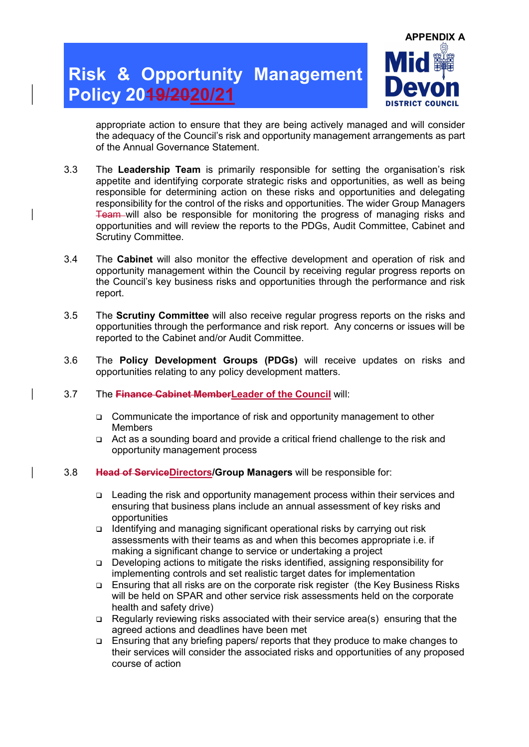

appropriate action to ensure that they are being actively managed and will consider the adequacy of the Council's risk and opportunity management arrangements as part of the Annual Governance Statement.

- 3.3 The Leadership Team is primarily responsible for setting the organisation's risk appetite and identifying corporate strategic risks and opportunities, as well as being responsible for determining action on these risks and opportunities and delegating responsibility for the control of the risks and opportunities. The wider Group Managers Team will also be responsible for monitoring the progress of managing risks and opportunities and will review the reports to the PDGs, Audit Committee, Cabinet and Scrutiny Committee.
- 3.4 The Cabinet will also monitor the effective development and operation of risk and opportunity management within the Council by receiving regular progress reports on the Council's key business risks and opportunities through the performance and risk report.
- 3.5 The Scrutiny Committee will also receive regular progress reports on the risks and opportunities through the performance and risk report. Any concerns or issues will be reported to the Cabinet and/or Audit Committee.
- 3.6 The Policy Development Groups (PDGs) will receive updates on risks and opportunities relating to any policy development matters.
- 3.7 The Finance Cabinet MemberLeader of the Council will:
	- Communicate the importance of risk and opportunity management to other Members
	- Act as a sounding board and provide a critical friend challenge to the risk and opportunity management process
- 3.8 Head of ServiceDirectors/Group Managers will be responsible for:
	- Leading the risk and opportunity management process within their services and ensuring that business plans include an annual assessment of key risks and opportunities
	- □ Identifying and managing significant operational risks by carrying out risk assessments with their teams as and when this becomes appropriate i.e. if making a significant change to service or undertaking a project
	- Developing actions to mitigate the risks identified, assigning responsibility for implementing controls and set realistic target dates for implementation
	- Ensuring that all risks are on the corporate risk register (the Key Business Risks will be held on SPAR and other service risk assessments held on the corporate health and safety drive)
	- Regularly reviewing risks associated with their service area(s) ensuring that the agreed actions and deadlines have been met
	- Ensuring that any briefing papers/ reports that they produce to make changes to their services will consider the associated risks and opportunities of any proposed course of action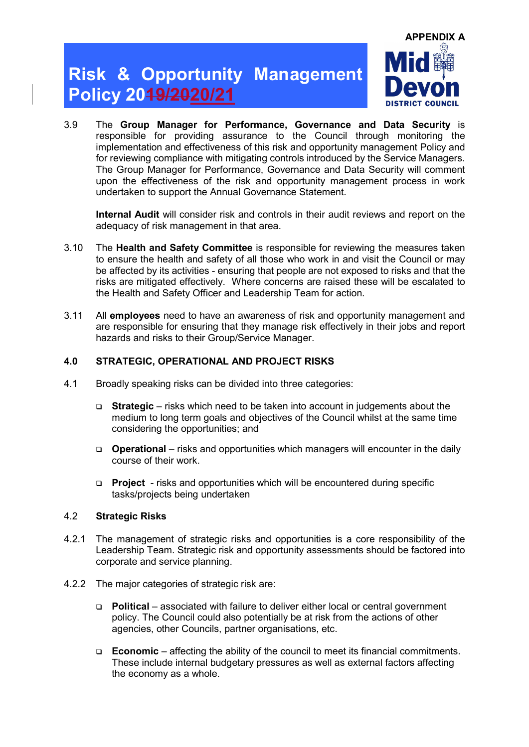

3.9 The Group Manager for Performance, Governance and Data Security is responsible for providing assurance to the Council through monitoring the implementation and effectiveness of this risk and opportunity management Policy and for reviewing compliance with mitigating controls introduced by the Service Managers. The Group Manager for Performance, Governance and Data Security will comment upon the effectiveness of the risk and opportunity management process in work undertaken to support the Annual Governance Statement.

Internal Audit will consider risk and controls in their audit reviews and report on the adequacy of risk management in that area.

- 3.10 The Health and Safety Committee is responsible for reviewing the measures taken to ensure the health and safety of all those who work in and visit the Council or may be affected by its activities - ensuring that people are not exposed to risks and that the risks are mitigated effectively. Where concerns are raised these will be escalated to the Health and Safety Officer and Leadership Team for action.
- 3.11 All employees need to have an awareness of risk and opportunity management and are responsible for ensuring that they manage risk effectively in their jobs and report hazards and risks to their Group/Service Manager.

#### 4.0 STRATEGIC, OPERATIONAL AND PROJECT RISKS

- 4.1 Broadly speaking risks can be divided into three categories:
	- **Strategic** risks which need to be taken into account in judgements about the medium to long term goals and objectives of the Council whilst at the same time considering the opportunities; and
	- **Operational** risks and opportunities which managers will encounter in the daily course of their work.
	- **Project** risks and opportunities which will be encountered during specific tasks/projects being undertaken

#### 4.2 Strategic Risks

- 4.2.1 The management of strategic risks and opportunities is a core responsibility of the Leadership Team. Strategic risk and opportunity assessments should be factored into corporate and service planning.
- 4.2.2 The major categories of strategic risk are:
	- $\Box$  Political associated with failure to deliver either local or central government policy. The Council could also potentially be at risk from the actions of other agencies, other Councils, partner organisations, etc.
	- **Economic** affecting the ability of the council to meet its financial commitments. These include internal budgetary pressures as well as external factors affecting the economy as a whole.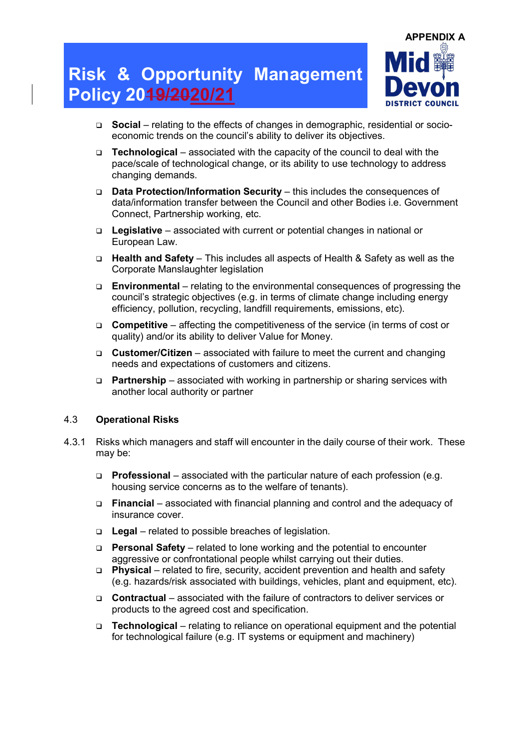

- □ Social relating to the effects of changes in demographic, residential or socioeconomic trends on the council's ability to deliver its objectives.
- **Technological** associated with the capacity of the council to deal with the pace/scale of technological change, or its ability to use technology to address changing demands.
- Data Protection/Information Security this includes the consequences of data/information transfer between the Council and other Bodies i.e. Government Connect, Partnership working, etc.
- $\Box$  Legislative associated with current or potential changes in national or European Law.
- Health and Safety This includes all aspects of Health & Safety as well as the Corporate Manslaughter legislation
- $\Box$  Environmental relating to the environmental consequences of progressing the council's strategic objectives (e.g. in terms of climate change including energy efficiency, pollution, recycling, landfill requirements, emissions, etc).
- **Competitive** affecting the competitiveness of the service (in terms of cost or quality) and/or its ability to deliver Value for Money.
- **Customer/Citizen** associated with failure to meet the current and changing needs and expectations of customers and citizens.
- **Partnership** associated with working in partnership or sharing services with another local authority or partner

#### 4.3 Operational Risks

- 4.3.1 Risks which managers and staff will encounter in the daily course of their work. These may be:
	- **Professional** associated with the particular nature of each profession (e.g. housing service concerns as to the welfare of tenants).
	- $\Box$  Financial associated with financial planning and control and the adequacy of insurance cover.
	- $\Box$  Legal related to possible breaches of legislation.
	- **Personal Safety** related to lone working and the potential to encounter aggressive or confrontational people whilst carrying out their duties.
	- Physical related to fire, security, accident prevention and health and safety (e.g. hazards/risk associated with buildings, vehicles, plant and equipment, etc).
	- Contractual associated with the failure of contractors to deliver services or products to the agreed cost and specification.
	- $\Box$  Technological relating to reliance on operational equipment and the potential for technological failure (e.g. IT systems or equipment and machinery)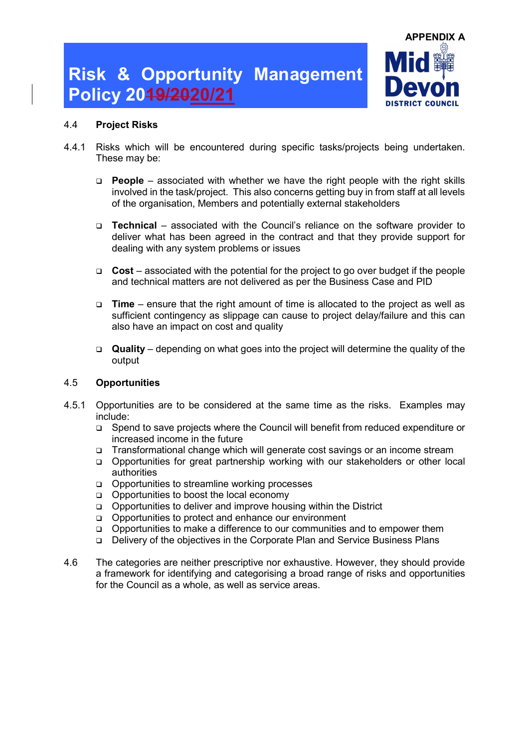

#### 4.4 Project Risks

- 4.4.1 Risks which will be encountered during specific tasks/projects being undertaken. These may be:
	- **People** associated with whether we have the right people with the right skills involved in the task/project. This also concerns getting buy in from staff at all levels of the organisation, Members and potentially external stakeholders
	- Technical associated with the Council's reliance on the software provider to deliver what has been agreed in the contract and that they provide support for dealing with any system problems or issues
	- $\Box$  Cost associated with the potential for the project to go over budget if the people and technical matters are not delivered as per the Business Case and PID
	- $\Box$  Time ensure that the right amount of time is allocated to the project as well as sufficient contingency as slippage can cause to project delay/failure and this can also have an impact on cost and quality
	- $\Box$  Quality depending on what goes into the project will determine the quality of the output

#### 4.5 Opportunities

- 4.5.1 Opportunities are to be considered at the same time as the risks. Examples may include:
	- Spend to save projects where the Council will benefit from reduced expenditure or increased income in the future
	- □ Transformational change which will generate cost savings or an income stream
	- Opportunities for great partnership working with our stakeholders or other local authorities
	- Opportunities to streamline working processes
	- Opportunities to boost the local economy
	- Opportunities to deliver and improve housing within the District
	- Opportunities to protect and enhance our environment
	- Opportunities to make a difference to our communities and to empower them
	- Delivery of the objectives in the Corporate Plan and Service Business Plans
- 4.6 The categories are neither prescriptive nor exhaustive. However, they should provide a framework for identifying and categorising a broad range of risks and opportunities for the Council as a whole, as well as service areas.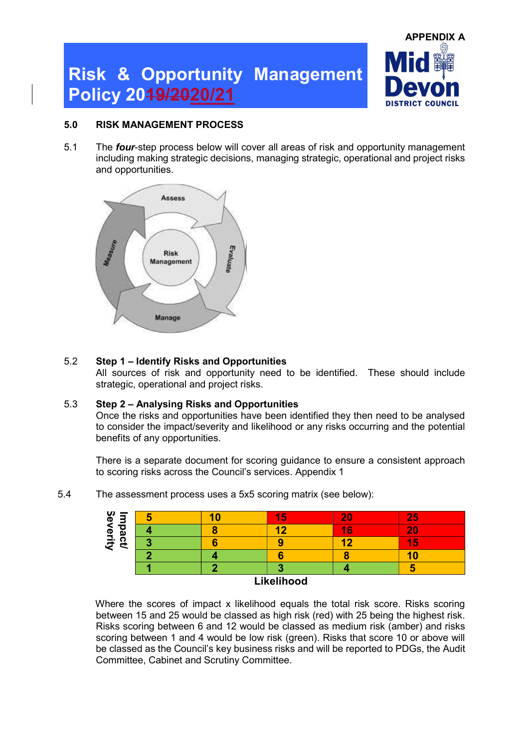

### 5.0 RISK MANAGEMENT PROCESS

5.1 The **four-step process below will cover all areas of risk and opportunity management** including making strategic decisions, managing strategic, operational and project risks and opportunities.



### 5.2 Step 1 – Identify Risks and Opportunities

All sources of risk and opportunity need to be identified. These should include strategic, operational and project risks.

### 5.3 Step 2 – Analysing Risks and Opportunities

Once the risks and opportunities have been identified they then need to be analysed to consider the impact/severity and likelihood or any risks occurring and the potential benefits of any opportunities.

There is a separate document for scoring guidance to ensure a consistent approach to scoring risks across the Council's services. Appendix 1

| စ္မွ<br>=       | ю          |  | Ð |    | <b>PA</b> |
|-----------------|------------|--|---|----|-----------|
| n<br>യ          |            |  |   | 16 |           |
| erity<br>ຕ<br>ా |            |  |   |    | ÷         |
|                 |            |  |   |    |           |
|                 |            |  |   |    |           |
|                 | Likelihood |  |   |    |           |

5.4 The assessment process uses a 5x5 scoring matrix (see below):

Where the scores of impact x likelihood equals the total risk score. Risks scoring between 15 and 25 would be classed as high risk (red) with 25 being the highest risk. Risks scoring between 6 and 12 would be classed as medium risk (amber) and risks scoring between 1 and 4 would be low risk (green). Risks that score 10 or above will be classed as the Council's key business risks and will be reported to PDGs, the Audit Committee, Cabinet and Scrutiny Committee.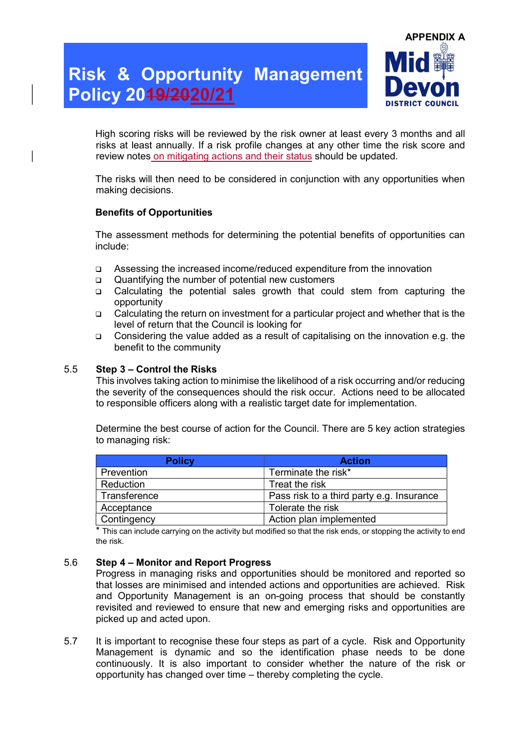

High scoring risks will be reviewed by the risk owner at least every 3 months and all risks at least annually. If a risk profile changes at any other time the risk score and review notes on mitigating actions and their status should be updated.

The risks will then need to be considered in conjunction with any opportunities when making decisions.

#### Benefits of Opportunities

The assessment methods for determining the potential benefits of opportunities can include:

- Assessing the increased income/reduced expenditure from the innovation
- Quantifying the number of potential new customers
- Calculating the potential sales growth that could stem from capturing the opportunity
- Calculating the return on investment for a particular project and whether that is the level of return that the Council is looking for
- Considering the value added as a result of capitalising on the innovation e.g. the benefit to the community

#### 5.5 Step 3 – Control the Risks

This involves taking action to minimise the likelihood of a risk occurring and/or reducing the severity of the consequences should the risk occur. Actions need to be allocated to responsible officers along with a realistic target date for implementation.

Determine the best course of action for the Council. There are 5 key action strategies to managing risk:

| <b>Policy</b>      | <b>Action</b>                             |
|--------------------|-------------------------------------------|
| Prevention         | Terminate the risk*                       |
| Reduction          | Treat the risk                            |
| Transference       | Pass risk to a third party e.g. Insurance |
| Acceptance         | Tolerate the risk                         |
| <b>Contingency</b> | Action plan implemented                   |

\* This can include carrying on the activity but modified so that the risk ends, or stopping the activity to end the risk.

#### 5.6 Step 4 – Monitor and Report Progress

Progress in managing risks and opportunities should be monitored and reported so that losses are minimised and intended actions and opportunities are achieved. Risk and Opportunity Management is an on-going process that should be constantly revisited and reviewed to ensure that new and emerging risks and opportunities are picked up and acted upon.

5.7 It is important to recognise these four steps as part of a cycle. Risk and Opportunity Management is dynamic and so the identification phase needs to be done continuously. It is also important to consider whether the nature of the risk or opportunity has changed over time – thereby completing the cycle.